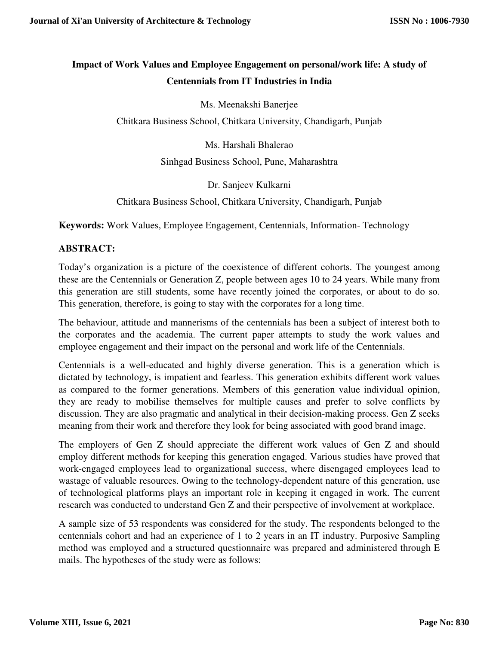# **Impact of Work Values and Employee Engagement on personal/work life: A study of Centennials from IT Industries in India**

Ms. Meenakshi Banerjee

Chitkara Business School, Chitkara University, Chandigarh, Punjab

Ms. Harshali Bhalerao

Sinhgad Business School, Pune, Maharashtra

Dr. Sanjeev Kulkarni

Chitkara Business School, Chitkara University, Chandigarh, Punjab

**Keywords:** Work Values, Employee Engagement, Centennials, Information- Technology

#### **ABSTRACT:**

Today's organization is a picture of the coexistence of different cohorts. The youngest among these are the Centennials or Generation Z, people between ages 10 to 24 years. While many from this generation are still students, some have recently joined the corporates, or about to do so. This generation, therefore, is going to stay with the corporates for a long time.

The behaviour, attitude and mannerisms of the centennials has been a subject of interest both to the corporates and the academia. The current paper attempts to study the work values and employee engagement and their impact on the personal and work life of the Centennials.

Centennials is a well-educated and highly diverse generation. This is a generation which is dictated by technology, is impatient and fearless. This generation exhibits different work values as compared to the former generations. Members of this generation value individual opinion, they are ready to mobilise themselves for multiple causes and prefer to solve conflicts by discussion. They are also pragmatic and analytical in their decision-making process. Gen Z seeks meaning from their work and therefore they look for being associated with good brand image.

The employers of Gen Z should appreciate the different work values of Gen Z and should employ different methods for keeping this generation engaged. Various studies have proved that work-engaged employees lead to organizational success, where disengaged employees lead to wastage of valuable resources. Owing to the technology-dependent nature of this generation, use of technological platforms plays an important role in keeping it engaged in work. The current research was conducted to understand Gen Z and their perspective of involvement at workplace.

A sample size of 53 respondents was considered for the study. The respondents belonged to the centennials cohort and had an experience of 1 to 2 years in an IT industry. Purposive Sampling method was employed and a structured questionnaire was prepared and administered through E mails. The hypotheses of the study were as follows: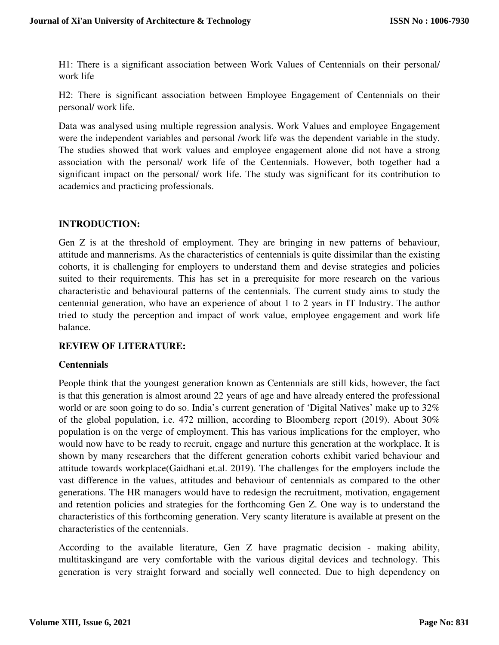H1: There is a significant association between Work Values of Centennials on their personal/ work life

H2: There is significant association between Employee Engagement of Centennials on their personal/ work life.

Data was analysed using multiple regression analysis. Work Values and employee Engagement were the independent variables and personal /work life was the dependent variable in the study. The studies showed that work values and employee engagement alone did not have a strong association with the personal/ work life of the Centennials. However, both together had a significant impact on the personal/ work life. The study was significant for its contribution to academics and practicing professionals.

## **INTRODUCTION:**

Gen Z is at the threshold of employment. They are bringing in new patterns of behaviour, attitude and mannerisms. As the characteristics of centennials is quite dissimilar than the existing cohorts, it is challenging for employers to understand them and devise strategies and policies suited to their requirements. This has set in a prerequisite for more research on the various characteristic and behavioural patterns of the centennials. The current study aims to study the centennial generation, who have an experience of about 1 to 2 years in IT Industry. The author tried to study the perception and impact of work value, employee engagement and work life balance.

#### **REVIEW OF LITERATURE:**

#### **Centennials**

People think that the youngest generation known as Centennials are still kids, however, the fact is that this generation is almost around 22 years of age and have already entered the professional world or are soon going to do so. India's current generation of 'Digital Natives' make up to 32% of the global population, i.e. 472 million, according to Bloomberg report (2019). About 30% population is on the verge of employment. This has various implications for the employer, who would now have to be ready to recruit, engage and nurture this generation at the workplace. It is shown by many researchers that the different generation cohorts exhibit varied behaviour and attitude towards workplace(Gaidhani et.al. 2019). The challenges for the employers include the vast difference in the values, attitudes and behaviour of centennials as compared to the other generations. The HR managers would have to redesign the recruitment, motivation, engagement and retention policies and strategies for the forthcoming Gen Z. One way is to understand the characteristics of this forthcoming generation. Very scanty literature is available at present on the characteristics of the centennials.

According to the available literature, Gen Z have pragmatic decision - making ability, multitaskingand are very comfortable with the various digital devices and technology. This generation is very straight forward and socially well connected. Due to high dependency on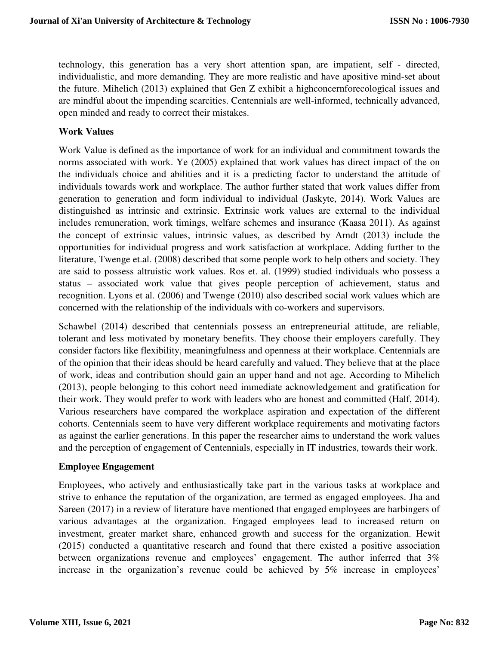technology, this generation has a very short attention span, are impatient, self - directed, individualistic, and more demanding. They are more realistic and have apositive mind-set about the future. Mihelich (2013) explained that Gen Z exhibit a highconcernforecological issues and are mindful about the impending scarcities. Centennials are well-informed, technically advanced, open minded and ready to correct their mistakes.

#### **Work Values**

Work Value is defined as the importance of work for an individual and commitment towards the norms associated with work. Ye (2005) explained that work values has direct impact of the on the individuals choice and abilities and it is a predicting factor to understand the attitude of individuals towards work and workplace. The author further stated that work values differ from generation to generation and form individual to individual (Jaskyte, 2014). Work Values are distinguished as intrinsic and extrinsic. Extrinsic work values are external to the individual includes remuneration, work timings, welfare schemes and insurance (Kaasa 2011). As against the concept of extrinsic values, intrinsic values, as described by Arndt (2013) include the opportunities for individual progress and work satisfaction at workplace. Adding further to the literature, Twenge et.al. (2008) described that some people work to help others and society. They are said to possess altruistic work values. Ros et. al. (1999) studied individuals who possess a status – associated work value that gives people perception of achievement, status and recognition. Lyons et al. (2006) and Twenge (2010) also described social work values which are concerned with the relationship of the individuals with co-workers and supervisors.

Schawbel (2014) described that centennials possess an entrepreneurial attitude, are reliable, tolerant and less motivated by monetary benefits. They choose their employers carefully. They consider factors like flexibility, meaningfulness and openness at their workplace. Centennials are of the opinion that their ideas should be heard carefully and valued. They believe that at the place of work, ideas and contribution should gain an upper hand and not age. According to Mihelich (2013), people belonging to this cohort need immediate acknowledgement and gratification for their work. They would prefer to work with leaders who are honest and committed (Half, 2014). Various researchers have compared the workplace aspiration and expectation of the different cohorts. Centennials seem to have very different workplace requirements and motivating factors as against the earlier generations. In this paper the researcher aims to understand the work values and the perception of engagement of Centennials, especially in IT industries, towards their work.

#### **Employee Engagement**

Employees, who actively and enthusiastically take part in the various tasks at workplace and strive to enhance the reputation of the organization, are termed as engaged employees. Jha and Sareen (2017) in a review of literature have mentioned that engaged employees are harbingers of various advantages at the organization. Engaged employees lead to increased return on investment, greater market share, enhanced growth and success for the organization. Hewit (2015) conducted a quantitative research and found that there existed a positive association between organizations revenue and employees' engagement. The author inferred that 3% increase in the organization's revenue could be achieved by 5% increase in employees'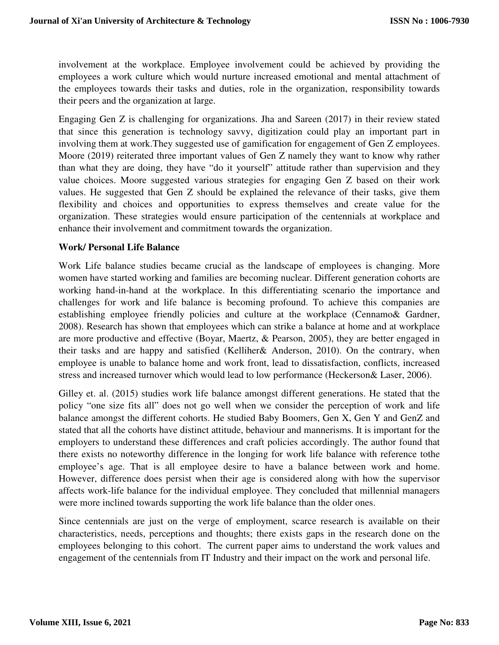involvement at the workplace. Employee involvement could be achieved by providing the employees a work culture which would nurture increased emotional and mental attachment of the employees towards their tasks and duties, role in the organization, responsibility towards their peers and the organization at large.

Engaging Gen Z is challenging for organizations. Jha and Sareen (2017) in their review stated that since this generation is technology savvy, digitization could play an important part in involving them at work.They suggested use of gamification for engagement of Gen Z employees. Moore (2019) reiterated three important values of Gen Z namely they want to know why rather than what they are doing, they have "do it yourself" attitude rather than supervision and they value choices. Moore suggested various strategies for engaging Gen Z based on their work values. He suggested that Gen Z should be explained the relevance of their tasks, give them flexibility and choices and opportunities to express themselves and create value for the organization. These strategies would ensure participation of the centennials at workplace and enhance their involvement and commitment towards the organization.

#### **Work/ Personal Life Balance**

Work Life balance studies became crucial as the landscape of employees is changing. More women have started working and families are becoming nuclear. Different generation cohorts are working hand-in-hand at the workplace. In this differentiating scenario the importance and challenges for work and life balance is becoming profound. To achieve this companies are establishing employee friendly policies and culture at the workplace (Cennamo& Gardner, 2008). Research has shown that employees which can strike a balance at home and at workplace are more productive and effective (Boyar, Maertz, & Pearson, 2005), they are better engaged in their tasks and are happy and satisfied (Kelliher& Anderson, 2010). On the contrary, when employee is unable to balance home and work front, lead to dissatisfaction, conflicts, increased stress and increased turnover which would lead to low performance (Heckerson& Laser, 2006).

Gilley et. al. (2015) studies work life balance amongst different generations. He stated that the policy "one size fits all" does not go well when we consider the perception of work and life balance amongst the different cohorts. He studied Baby Boomers, Gen X, Gen Y and GenZ and stated that all the cohorts have distinct attitude, behaviour and mannerisms. It is important for the employers to understand these differences and craft policies accordingly. The author found that there exists no noteworthy difference in the longing for work life balance with reference tothe employee's age. That is all employee desire to have a balance between work and home. However, difference does persist when their age is considered along with how the supervisor affects work-life balance for the individual employee. They concluded that millennial managers were more inclined towards supporting the work life balance than the older ones.

Since centennials are just on the verge of employment, scarce research is available on their characteristics, needs, perceptions and thoughts; there exists gaps in the research done on the employees belonging to this cohort. The current paper aims to understand the work values and engagement of the centennials from IT Industry and their impact on the work and personal life.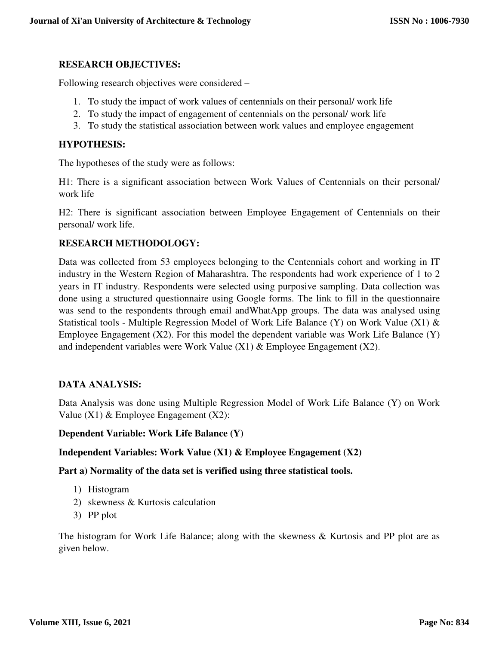#### **RESEARCH OBJECTIVES:**

Following research objectives were considered –

- 1. To study the impact of work values of centennials on their personal/ work life
- 2. To study the impact of engagement of centennials on the personal/ work life
- 3. To study the statistical association between work values and employee engagement

#### **HYPOTHESIS:**

The hypotheses of the study were as follows:

H1: There is a significant association between Work Values of Centennials on their personal/ work life

H2: There is significant association between Employee Engagement of Centennials on their personal/ work life.

#### **RESEARCH METHODOLOGY:**

Data was collected from 53 employees belonging to the Centennials cohort and working in IT industry in the Western Region of Maharashtra. The respondents had work experience of 1 to 2 years in IT industry. Respondents were selected using purposive sampling. Data collection was done using a structured questionnaire using Google forms. The link to fill in the questionnaire was send to the respondents through email andWhatApp groups. The data was analysed using Statistical tools - Multiple Regression Model of Work Life Balance (Y) on Work Value (X1) & Employee Engagement (X2). For this model the dependent variable was Work Life Balance (Y) and independent variables were Work Value  $(X1)$  & Employee Engagement  $(X2)$ .

#### **DATA ANALYSIS:**

Data Analysis was done using Multiple Regression Model of Work Life Balance (Y) on Work Value  $(X1)$  & Employee Engagement  $(X2)$ :

#### **Dependent Variable: Work Life Balance (Y)**

#### **Independent Variables: Work Value (X1) & Employee Engagement (X2)**

**Part a) Normality of the data set is verified using three statistical tools.** 

- 1) Histogram
- 2) skewness & Kurtosis calculation
- 3) PP plot

The histogram for Work Life Balance; along with the skewness  $\&$  Kurtosis and PP plot are as given below.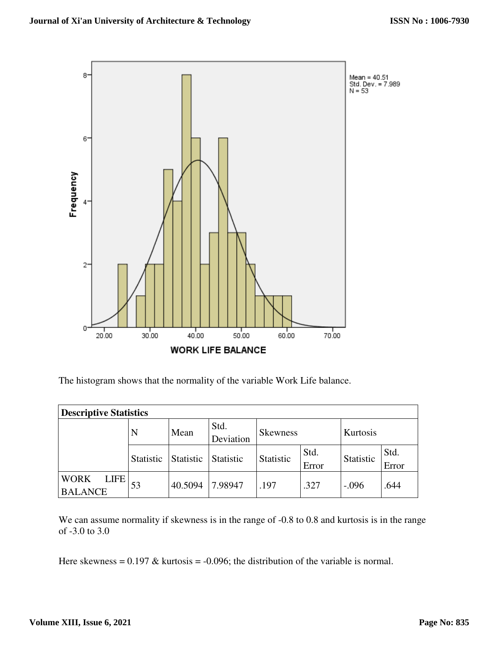

The histogram shows that the normality of the variable Work Life balance.

| <b>Descriptive Statistics</b>                |                  |           |                   |                      |               |           |               |  |
|----------------------------------------------|------------------|-----------|-------------------|----------------------|---------------|-----------|---------------|--|
|                                              | N                | Mean      | Std.<br>Deviation | Kurtosis<br>Skewness |               |           |               |  |
|                                              | <b>Statistic</b> | Statistic | <b>Statistic</b>  | Statistic            | Std.<br>Error | Statistic | Std.<br>Error |  |
| <b>LIFE</b><br><b>WORK</b><br><b>BALANCE</b> | 53               | 40.5094   | 7.98947           | .197                 | .327          | $-.096$   | .644          |  |

We can assume normality if skewness is in the range of  $-0.8$  to 0.8 and kurtosis is in the range of -3.0 to 3.0

Here skewness =  $0.197 \&$  kurtosis =  $-0.096$ ; the distribution of the variable is normal.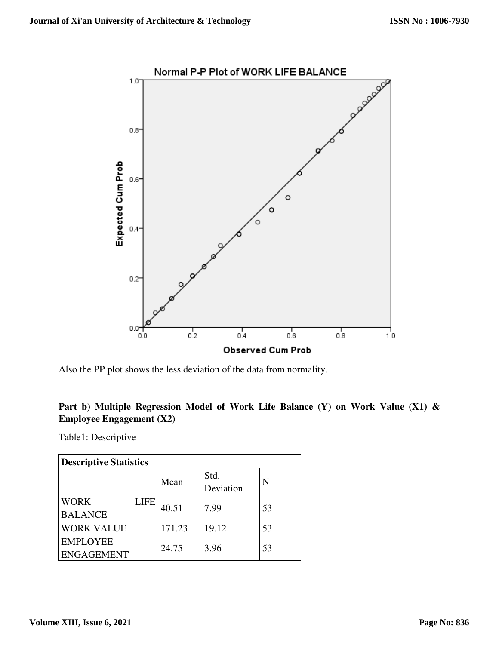

Also the PP plot shows the less deviation of the data from normality.

# **Part b) Multiple Regression Model of Work Life Balance (Y) on Work Value (X1) & Employee Engagement (X2)**

Table1: Descriptive

| <b>Descriptive Statistics</b> |             |        |           |    |  |  |
|-------------------------------|-------------|--------|-----------|----|--|--|
|                               |             | Mean   | Std.      | N  |  |  |
|                               |             |        | Deviation |    |  |  |
| <b>WORK</b>                   | <b>LIFE</b> | 40.51  | 7.99      | 53 |  |  |
| <b>BALANCE</b>                |             |        |           |    |  |  |
| <b>WORK VALUE</b>             |             | 171.23 | 19.12     | 53 |  |  |
| <b>EMPLOYEE</b>               |             | 24.75  | 3.96      | 53 |  |  |
| <b>ENGAGEMENT</b>             |             |        |           |    |  |  |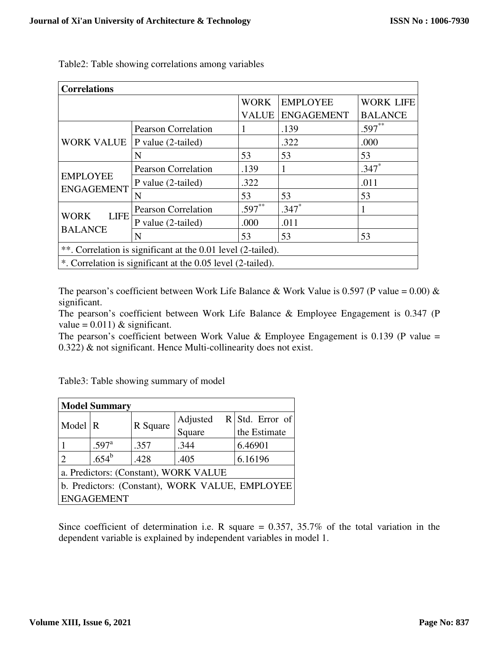| <b>Correlations</b>                                          |                            |              |                   |                  |  |  |
|--------------------------------------------------------------|----------------------------|--------------|-------------------|------------------|--|--|
|                                                              |                            | <b>WORK</b>  | <b>EMPLOYEE</b>   | <b>WORK LIFE</b> |  |  |
|                                                              |                            | <b>VALUE</b> | <b>ENGAGEMENT</b> | <b>BALANCE</b>   |  |  |
|                                                              | <b>Pearson Correlation</b> | 1            | .139              | $.597**$         |  |  |
| <b>WORK VALUE</b>                                            | P value (2-tailed)         |              | .322              | .000             |  |  |
|                                                              | N                          | 53           | 53                | 53               |  |  |
|                                                              | <b>Pearson Correlation</b> | .139         |                   | $.347*$          |  |  |
| <b>EMPLOYEE</b><br><b>ENGAGEMENT</b>                         | P value (2-tailed)         | .322         |                   | .011             |  |  |
|                                                              | N                          | 53           | 53                | 53               |  |  |
|                                                              | <b>Pearson Correlation</b> | $.597**$     | $.347*$           |                  |  |  |
| <b>LIFE</b><br><b>WORK</b>                                   | P value (2-tailed)         | .000         | .011              |                  |  |  |
| <b>BALANCE</b>                                               | N                          | 53           | 53                | 53               |  |  |
| **. Correlation is significant at the 0.01 level (2-tailed). |                            |              |                   |                  |  |  |
| *. Correlation is significant at the 0.05 level (2-tailed).  |                            |              |                   |                  |  |  |

Table2: Table showing correlations among variables

The pearson's coefficient between Work Life Balance & Work Value is 0.597 (P value = 0.00) & significant.

The pearson's coefficient between Work Life Balance & Employee Engagement is 0.347 (P value =  $0.011$ ) & significant.

The pearson's coefficient between Work Value & Employee Engagement is 0.139 (P value = 0.322) & not significant. Hence Multi-collinearity does not exist.

Table3: Table showing summary of model

| <b>Model Summary</b>                            |                     |          |          |                   |  |  |  |
|-------------------------------------------------|---------------------|----------|----------|-------------------|--|--|--|
| Model                                           | R                   | R Square | Adjusted | $R$ Std. Error of |  |  |  |
|                                                 |                     |          | Square   | the Estimate      |  |  |  |
|                                                 | $.597$ <sup>a</sup> | .357     | .344     | 6.46901           |  |  |  |
|                                                 | $.654^b$            | .428     | .405     | 6.16196           |  |  |  |
| a. Predictors: (Constant), WORK VALUE           |                     |          |          |                   |  |  |  |
| b. Predictors: (Constant), WORK VALUE, EMPLOYEE |                     |          |          |                   |  |  |  |
| <b>ENGAGEMENT</b>                               |                     |          |          |                   |  |  |  |

Since coefficient of determination i.e. R square  $= 0.357, 35.7\%$  of the total variation in the dependent variable is explained by independent variables in model 1.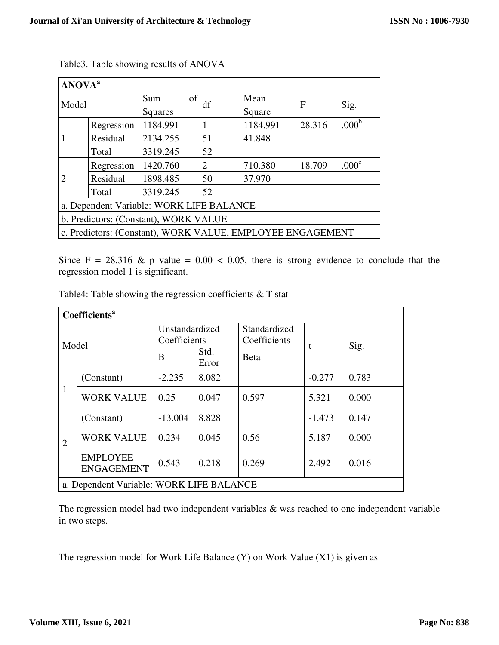| <b>ANOVA</b> <sup>a</sup>                                  |            |                                       |    |                |        |                   |  |
|------------------------------------------------------------|------------|---------------------------------------|----|----------------|--------|-------------------|--|
| Model                                                      |            | of<br>Sum<br>Squares                  | df | Mean<br>Square | F      | Sig.              |  |
|                                                            | Regression | 1184.991                              | 1  | 1184.991       | 28.316 | .000 <sup>b</sup> |  |
|                                                            | Residual   | 2134.255                              | 51 | 41.848         |        |                   |  |
|                                                            | Total      | 3319.245                              | 52 |                |        |                   |  |
|                                                            | Regression | 1420.760                              | 2  | 710.380        | 18.709 | .000 <sup>c</sup> |  |
| $\mathcal{D}_{\mathcal{L}}$                                | Residual   | 1898.485                              | 50 | 37.970         |        |                   |  |
|                                                            | Total      | 3319.245                              | 52 |                |        |                   |  |
| a. Dependent Variable: WORK LIFE BALANCE                   |            |                                       |    |                |        |                   |  |
|                                                            |            | b. Predictors: (Constant), WORK VALUE |    |                |        |                   |  |
| c. Predictors: (Constant), WORK VALUE, EMPLOYEE ENGAGEMENT |            |                                       |    |                |        |                   |  |

Table3. Table showing results of ANOVA

Since  $F = 28.316 \& p$  value = 0.00 < 0.05, there is strong evidence to conclude that the regression model 1 is significant.

Table4: Table showing the regression coefficients & T stat

| <b>Coefficients<sup>a</sup></b>          |                                      |                                |               |                              |          |       |  |
|------------------------------------------|--------------------------------------|--------------------------------|---------------|------------------------------|----------|-------|--|
| Model                                    |                                      | Unstandardized<br>Coefficients |               | Standardized<br>Coefficients |          |       |  |
|                                          |                                      | B                              | Std.<br>Error | <b>B</b> eta                 |          | Sig.  |  |
| 1                                        | (Constant)                           | $-2.235$                       | 8.082         |                              | $-0.277$ | 0.783 |  |
|                                          | <b>WORK VALUE</b>                    | 0.25                           | 0.047         | 0.597                        | 5.321    | 0.000 |  |
| $\overline{2}$                           | (Constant)                           | $-13.004$                      | 8.828         |                              | $-1.473$ | 0.147 |  |
|                                          | <b>WORK VALUE</b>                    | 0.234                          | 0.045         | 0.56                         | 5.187    | 0.000 |  |
|                                          | <b>EMPLOYEE</b><br><b>ENGAGEMENT</b> | 0.543                          | 0.218         | 0.269                        | 2.492    | 0.016 |  |
| a. Dependent Variable: WORK LIFE BALANCE |                                      |                                |               |                              |          |       |  |

The regression model had two independent variables & was reached to one independent variable in two steps.

The regression model for Work Life Balance (Y) on Work Value (X1) is given as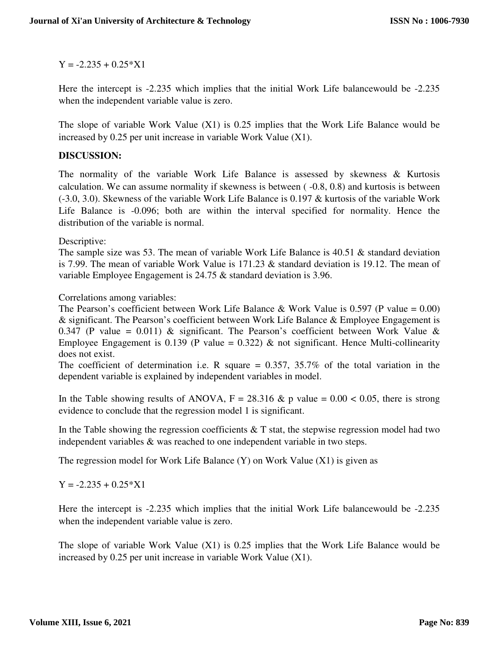$Y = -2.235 + 0.25*X1$ 

Here the intercept is -2.235 which implies that the initial Work Life balancewould be -2.235 when the independent variable value is zero.

The slope of variable Work Value (X1) is 0.25 implies that the Work Life Balance would be increased by 0.25 per unit increase in variable Work Value (X1).

## **DISCUSSION:**

The normality of the variable Work Life Balance is assessed by skewness & Kurtosis calculation. We can assume normality if skewness is between ( -0.8, 0.8) and kurtosis is between (-3.0, 3.0). Skewness of the variable Work Life Balance is 0.197 & kurtosis of the variable Work Life Balance is -0.096; both are within the interval specified for normality. Hence the distribution of the variable is normal.

Descriptive:

The sample size was 53. The mean of variable Work Life Balance is 40.51 & standard deviation is 7.99. The mean of variable Work Value is 171.23 & standard deviation is 19.12. The mean of variable Employee Engagement is 24.75 & standard deviation is 3.96.

Correlations among variables:

The Pearson's coefficient between Work Life Balance & Work Value is 0.597 (P value =  $0.00$ ) & significant. The Pearson's coefficient between Work Life Balance & Employee Engagement is 0.347 (P value = 0.011) & significant. The Pearson's coefficient between Work Value & Employee Engagement is 0.139 (P value = 0.322)  $\&$  not significant. Hence Multi-collinearity does not exist.

The coefficient of determination i.e. R square  $= 0.357, 35.7\%$  of the total variation in the dependent variable is explained by independent variables in model.

In the Table showing results of ANOVA,  $F = 28.316 \& p$  value = 0.00 < 0.05, there is strong evidence to conclude that the regression model 1 is significant.

In the Table showing the regression coefficients  $&$  T stat, the stepwise regression model had two independent variables & was reached to one independent variable in two steps.

The regression model for Work Life Balance  $(Y)$  on Work Value  $(X1)$  is given as

 $Y = -2.235 + 0.25 * X1$ 

Here the intercept is -2.235 which implies that the initial Work Life balancewould be -2.235 when the independent variable value is zero.

The slope of variable Work Value (X1) is 0.25 implies that the Work Life Balance would be increased by 0.25 per unit increase in variable Work Value (X1).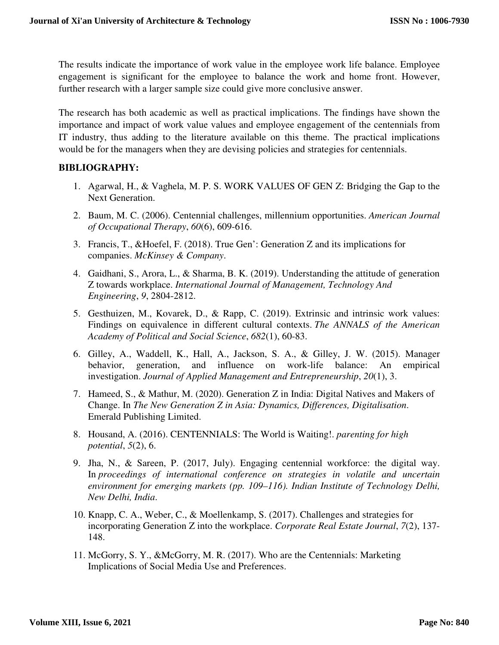The results indicate the importance of work value in the employee work life balance. Employee engagement is significant for the employee to balance the work and home front. However, further research with a larger sample size could give more conclusive answer.

The research has both academic as well as practical implications. The findings have shown the importance and impact of work value values and employee engagement of the centennials from IT industry, thus adding to the literature available on this theme. The practical implications would be for the managers when they are devising policies and strategies for centennials.

# **BIBLIOGRAPHY:**

- 1. Agarwal, H., & Vaghela, M. P. S. WORK VALUES OF GEN Z: Bridging the Gap to the Next Generation.
- 2. Baum, M. C. (2006). Centennial challenges, millennium opportunities. *American Journal of Occupational Therapy*, *60*(6), 609-616.
- 3. Francis, T., &Hoefel, F. (2018). True Gen': Generation Z and its implications for companies. *McKinsey & Company*.
- 4. Gaidhani, S., Arora, L., & Sharma, B. K. (2019). Understanding the attitude of generation Z towards workplace. *International Journal of Management, Technology And Engineering*, *9*, 2804-2812.
- 5. Gesthuizen, M., Kovarek, D., & Rapp, C. (2019). Extrinsic and intrinsic work values: Findings on equivalence in different cultural contexts. *The ANNALS of the American Academy of Political and Social Science*, *682*(1), 60-83.
- 6. Gilley, A., Waddell, K., Hall, A., Jackson, S. A., & Gilley, J. W. (2015). Manager behavior, generation, and influence on work-life balance: An empirical investigation. *Journal of Applied Management and Entrepreneurship*, *20*(1), 3.
- 7. Hameed, S., & Mathur, M. (2020). Generation Z in India: Digital Natives and Makers of Change. In *The New Generation Z in Asia: Dynamics, Differences, Digitalisation*. Emerald Publishing Limited.
- 8. Housand, A. (2016). CENTENNIALS: The World is Waiting!. *parenting for high potential*, *5*(2), 6.
- 9. Jha, N., & Sareen, P. (2017, July). Engaging centennial workforce: the digital way. In *proceedings of international conference on strategies in volatile and uncertain environment for emerging markets (pp. 109–116). Indian Institute of Technology Delhi, New Delhi, India*.
- 10. Knapp, C. A., Weber, C., & Moellenkamp, S. (2017). Challenges and strategies for incorporating Generation Z into the workplace. *Corporate Real Estate Journal*, *7*(2), 137- 148.
- 11. McGorry, S. Y., &McGorry, M. R. (2017). Who are the Centennials: Marketing Implications of Social Media Use and Preferences.